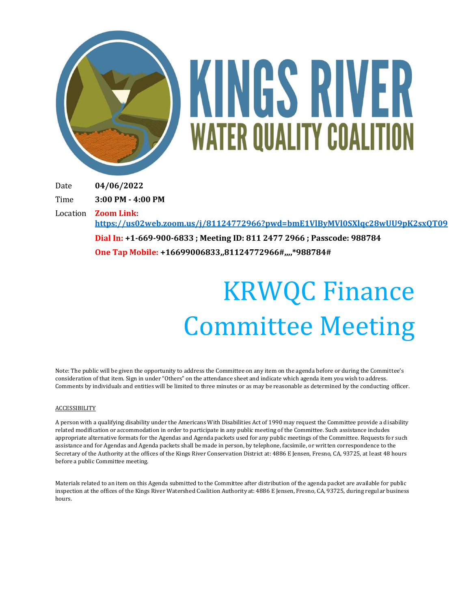

# KINGS RIVER **WATER QUALITY COALITION**

Date **04/06/2022**

Time **3:00 PM - 4:00 PM**

Location **Zoom Link:** 

**<https://us02web.zoom.us/j/81124772966?pwd=bmE1VlByMVl0SXlqc28wUU9pK2sxQT09>**

**Dial In: +1-669-900-6833 ; Meeting ID: 811 2477 2966 ; Passcode: 988784 One Tap Mobile: +16699006833,,81124772966#,,,,\*988784#**

## KRWQC Finance Committee Meeting

Note: The public will be given the opportunity to address the Committee on any item on the agenda before or during the Committee's consideration of that item. Sign in under "Others" on the attendance sheet and indicate which agenda item you wish to address. Comments by individuals and entities will be limited to three minutes or as may be reasonable as determined by the conducting officer.

#### ACCESSIBILITY

A person with a qualifying disability under the Americans With Disabilities Act of 1990 may request the Committee provide a disability related modification or accommodation in order to participate in any public meeting of the Committee. Such assistance includes appropriate alternative formats for the Agendas and Agenda packets used for any public meetings of the Committee. Requests for such assistance and for Agendas and Agenda packets shall be made in person, by telephone, facsimile, or written correspondence to the Secretary of the Authority at the offices of the Kings River Conservation District at: 4886 E Jensen, Fresno, CA, 93725, at least 48 hours before a public Committee meeting.

Materials related to an item on this Agenda submitted to the Committee after distribution of the agenda packet are available for public inspection at the offices of the Kings River Watershed Coalition Authority at: 4886 E Jensen, Fresno, CA, 93725, during regular business hours.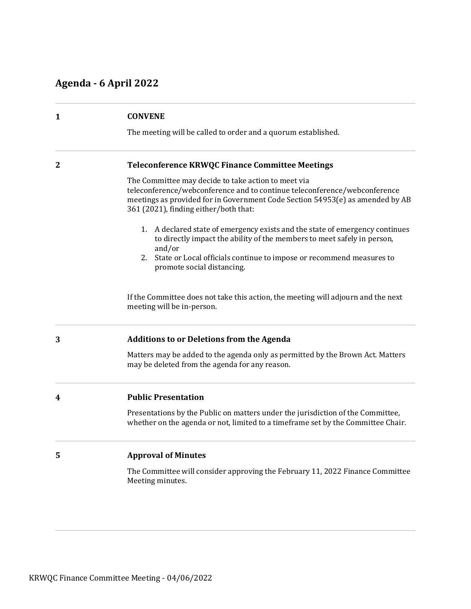### **Agenda - 6 April 2022**

| 1              | <b>CONVENE</b>                                                                                                                                                                                                                                             |  |
|----------------|------------------------------------------------------------------------------------------------------------------------------------------------------------------------------------------------------------------------------------------------------------|--|
|                | The meeting will be called to order and a quorum established.                                                                                                                                                                                              |  |
| $\overline{2}$ | <b>Teleconference KRWQC Finance Committee Meetings</b>                                                                                                                                                                                                     |  |
|                | The Committee may decide to take action to meet via<br>teleconference/webconference and to continue teleconference/webconference<br>meetings as provided for in Government Code Section 54953(e) as amended by AB<br>361 (2021), finding either/both that: |  |
|                | 1. A declared state of emergency exists and the state of emergency continues<br>to directly impact the ability of the members to meet safely in person,<br>and/or                                                                                          |  |
|                | 2. State or Local officials continue to impose or recommend measures to<br>promote social distancing.                                                                                                                                                      |  |
|                | If the Committee does not take this action, the meeting will adjourn and the next<br>meeting will be in-person.                                                                                                                                            |  |
| 3              | <b>Additions to or Deletions from the Agenda</b>                                                                                                                                                                                                           |  |
|                | Matters may be added to the agenda only as permitted by the Brown Act. Matters<br>may be deleted from the agenda for any reason.                                                                                                                           |  |
| 4              | <b>Public Presentation</b>                                                                                                                                                                                                                                 |  |
|                | Presentations by the Public on matters under the jurisdiction of the Committee,<br>whether on the agenda or not, limited to a timeframe set by the Committee Chair.                                                                                        |  |
| 5              | <b>Approval of Minutes</b>                                                                                                                                                                                                                                 |  |
|                | The Committee will consider approving the February 11, 2022 Finance Committee<br>Meeting minutes.                                                                                                                                                          |  |
|                |                                                                                                                                                                                                                                                            |  |